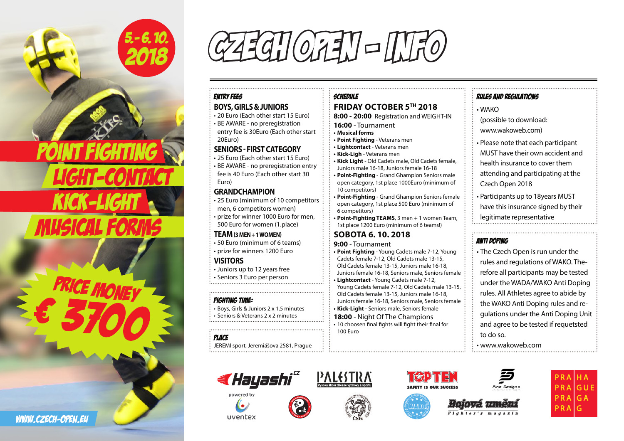

5.-6.10. CZECH OFEN – INFO

#### ENTRY FEES **BOYS, GIRLS & JUNIORS**

• 20 Euro (Each other start 15 Euro) • BE AWARE - no preregistration entry fee is 30Euro (Each other start 20Euro)

## **SENIORS - FIRST CATEGORY**

• 25 Euro (Each other start 15 Euro) • BE AWARE - no preregistration entry fee is 40 Euro (Each other start 30 Euro)

### **GRANDCHAMPION**

• 25 Euro (minimum of 10 competitors men, 6 competitors women) • prize for winner 1000 Euro for men, 500 Euro for women (1.place)

**TEAM (3 MEN + 1 WOMEN)** • 50 Euro (minimum of 6 teams) • prize for winners 1200 Euro

**VISITORS** • Juniors up to 12 years free • Seniors 3 Euro per person

### FIGHTING TIME:

• Boys, Girls & Juniors 2 x 1.5 minutes • Seniors & Veterans 2 x 2 minutes

Place JEREMI sport, Jeremiášova 2581, Prague



**8:00 - 20:00** Registration and WEIGHT-IN **16:00** - Tournament **• Musical forms • Point Fighting** - Veterans men **• Lightcontact** - Veterans men **• Kick-Ligh** - Veterans men **• Kick Light** - Old Cadets male, Old Cadets female, Juniors male 16-18, Juniors female 16-18 **• Point-Fighting** - Grand Ghampion Seniors male open category, 1st place 1000Euro (minimum of 10 competitors) **• Point-Fighting** - Grand Ghampion Seniors female

open category, 1st place 500 Euro (minimum of 6 competitors)

**• Point-Fighting TEAMS**, 3 men + 1 women Team, 1st place 1200 Euro (minimum of 6 teams!)

# **SOBOTA 6. 10. 2018**

**9:00** - Tournament

**• Point Fighting** - Young Cadets male 7-12, Young Cadets female 7-12, Old Cadets male 13-15, Old Cadets female 13-15, Juniors male 16-18, Juniors female 16-18, Seniors male, Seniors female **• Lightcontact** - Young Cadets male 7-12, Young Cadets female 7-12, Old Cadets male 13-15, Old Cadets female 13-15, Juniors male 16-18, Juniors female 16-18, Seniors male, Seniors female **• Kick-Light** - Seniors male, Seniors female **18:00** - Night Of The Champions • 10 choosen final fights will fight their final for 100 Euro

## RULES AND REGULATIONS

• WAKO (possible to download: www.wakoweb.com) • Please note that each participant MUST have their own accident and health insurance to cover them attending and participating at the

Czech Open 2018 • Participants up to 18years MUST

have this insurance signed by their legitimate representative

# ANTI DOPING

• The Czech Open is run under the rules and regulations of WAKO. Therefore all participants may be tested under the WADA/WAKO Anti Doping rules. All Athletes agree to abide by the WAKO Anti Doping rules and regulations under the Anti Doping Unit and agree to be tested if requetsted to do so.

• www.wakoweb.com





uventex